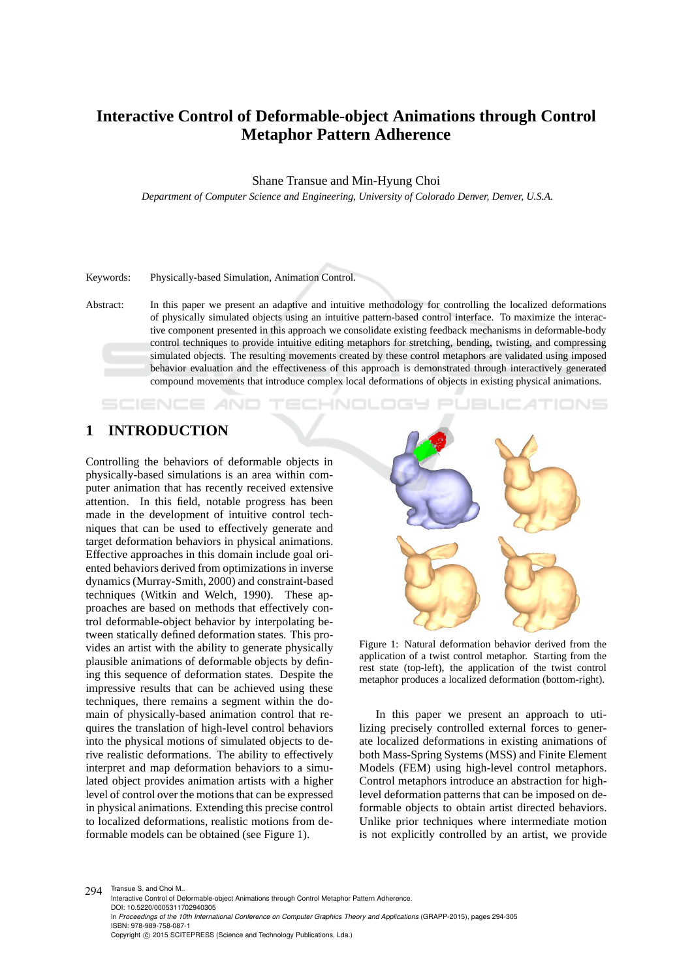# **Interactive Control of Deformable-object Animations through Control Metaphor Pattern Adherence**

Shane Transue and Min-Hyung Choi

*Department of Computer Science and Engineering, University of Colorado Denver, Denver, U.S.A.*

#### Keywords: Physically-based Simulation, Animation Control.

Abstract: In this paper we present an adaptive and intuitive methodology for controlling the localized deformations of physically simulated objects using an intuitive pattern-based control interface. To maximize the interactive component presented in this approach we consolidate existing feedback mechanisms in deformable-body control techniques to provide intuitive editing metaphors for stretching, bending, twisting, and compressing simulated objects. The resulting movements created by these control metaphors are validated using imposed behavior evaluation and the effectiveness of this approach is demonstrated through interactively generated compound movements that introduce complex local deformations of objects in existing physical animations.

HNOLOGY

# **1 INTRODUCTION**

**SCIENCE AND** 

Controlling the behaviors of deformable objects in physically-based simulations is an area within computer animation that has recently received extensive attention. In this field, notable progress has been made in the development of intuitive control techniques that can be used to effectively generate and target deformation behaviors in physical animations. Effective approaches in this domain include goal oriented behaviors derived from optimizations in inverse dynamics (Murray-Smith, 2000) and constraint-based techniques (Witkin and Welch, 1990). These approaches are based on methods that effectively control deformable-object behavior by interpolating between statically defined deformation states. This provides an artist with the ability to generate physically plausible animations of deformable objects by defining this sequence of deformation states. Despite the impressive results that can be achieved using these techniques, there remains a segment within the domain of physically-based animation control that requires the translation of high-level control behaviors into the physical motions of simulated objects to derive realistic deformations. The ability to effectively interpret and map deformation behaviors to a simulated object provides animation artists with a higher level of control over the motions that can be expressed in physical animations. Extending this precise control to localized deformations, realistic motions from deformable models can be obtained (see Figure 1).



Figure 1: Natural deformation behavior derived from the application of a twist control metaphor. Starting from the rest state (top-left), the application of the twist control metaphor produces a localized deformation (bottom-right).

In this paper we present an approach to utilizing precisely controlled external forces to generate localized deformations in existing animations of both Mass-Spring Systems (MSS) and Finite Element Models (FEM) using high-level control metaphors. Control metaphors introduce an abstraction for highlevel deformation patterns that can be imposed on deformable objects to obtain artist directed behaviors. Unlike prior techniques where intermediate motion is not explicitly controlled by an artist, we provide

294 Transue S. and Choi M.. Interactive Control of Deformable-object Animations through Control Metaphor Pattern Adherence. DOI: 10.5220/0005311702940305 In *Proceedings of the 10th International Conference on Computer Graphics Theory and Applications* (GRAPP-2015), pages 294-305 ISBN: 978-989-758-087-1 Copyright © 2015 SCITEPRESS (Science and Technology Publications, Lda.)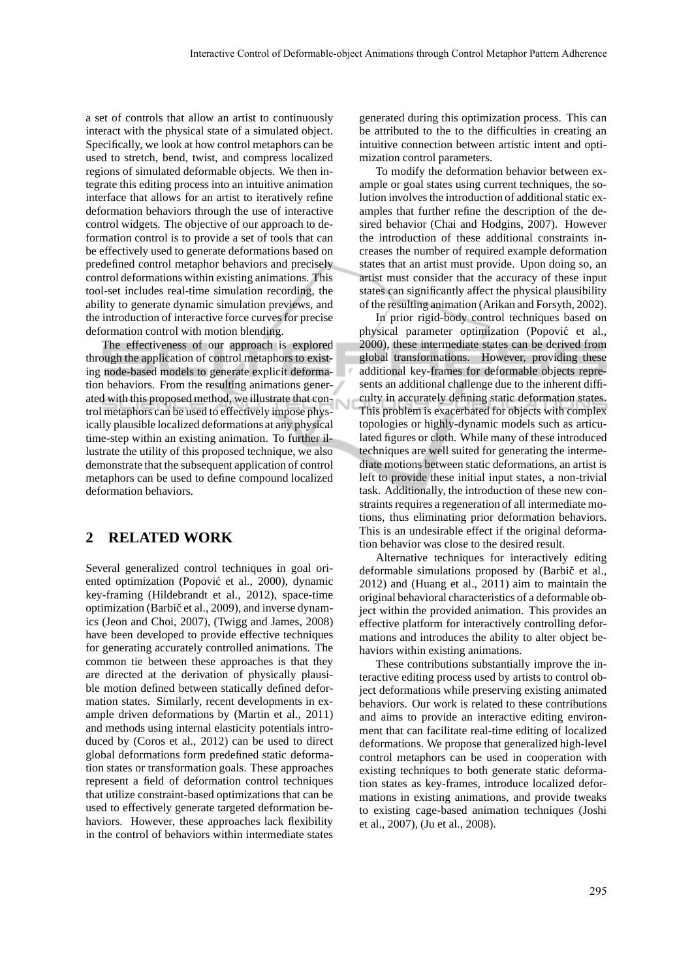a set of controls that allow an artist to continuously interact with the physical state of a simulated object. Specifically, we look at how control metaphors can be used to stretch, bend, twist, and compress localized regions of simulated deformable objects. We then integrate this editing process into an intuitive animation interface that allows for an artist to iteratively refine deformation behaviors through the use of interactive control widgets. The objective of our approach to deformation control is to provide a set of tools that can be effectively used to generate deformations based on predefined control metaphor behaviors and precisely control deformations within existing animations. This tool-set includes real-time simulation recording, the ability to generate dynamic simulation previews, and the introduction of interactive force curves for precise deformation control with motion blending.

The effectiveness of our approach is explored through the application of control metaphors to existing node-based models to generate explicit deformation behaviors. From the resulting animations generated with this proposed method, we illustrate that control metaphors can be used to effectively impose physically plausible localized deformations at any physical time-step within an existing animation. To further illustrate the utility of this proposed technique, we also demonstrate that the subsequent application of control metaphors can be used to define compound localized deformation behaviors.

# **2 RELATED WORK**

Several generalized control techniques in goal oriented optimization (Popović et al., 2000), dynamic key-framing (Hildebrandt et al., 2012), space-time optimization (Barbič et al., 2009), and inverse dynamics (Jeon and Choi, 2007), (Twigg and James, 2008) have been developed to provide effective techniques for generating accurately controlled animations. The common tie between these approaches is that they are directed at the derivation of physically plausible motion defined between statically defined deformation states. Similarly, recent developments in example driven deformations by (Martin et al., 2011) and methods using internal elasticity potentials introduced by (Coros et al., 2012) can be used to direct global deformations form predefined static deformation states or transformation goals. These approaches represent a field of deformation control techniques that utilize constraint-based optimizations that can be used to effectively generate targeted deformation behaviors. However, these approaches lack flexibility in the control of behaviors within intermediate states generated during this optimization process. This can be attributed to the to the difficulties in creating an intuitive connection between artistic intent and optimization control parameters.

To modify the deformation behavior between example or goal states using current techniques, the solution involves the introduction of additional static examples that further refine the description of the desired behavior (Chai and Hodgins, 2007). However the introduction of these additional constraints increases the number of required example deformation states that an artist must provide. Upon doing so, an artist must consider that the accuracy of these input states can significantly affect the physical plausibility of the resulting animation (Arikan and Forsyth, 2002).

In prior rigid-body control techniques based on physical parameter optimization (Popović et al., 2000), these intermediate states can be derived from global transformations. However, providing these additional key-frames for deformable objects represents an additional challenge due to the inherent difficulty in accurately defining static deformation states. This problem is exacerbated for objects with complex topologies or highly-dynamic models such as articulated figures or cloth. While many of these introduced techniques are well suited for generating the intermediate motions between static deformations, an artist is left to provide these initial input states, a non-trivial task. Additionally, the introduction of these new constraints requires a regeneration of all intermediate motions, thus eliminating prior deformation behaviors. This is an undesirable effect if the original deformation behavior was close to the desired result.

Alternative techniques for interactively editing deformable simulations proposed by (Barbič et al., 2012) and (Huang et al., 2011) aim to maintain the original behavioral characteristics of a deformable object within the provided animation. This provides an effective platform for interactively controlling deformations and introduces the ability to alter object behaviors within existing animations.

These contributions substantially improve the interactive editing process used by artists to control object deformations while preserving existing animated behaviors. Our work is related to these contributions and aims to provide an interactive editing environment that can facilitate real-time editing of localized deformations. We propose that generalized high-level control metaphors can be used in cooperation with existing techniques to both generate static deformation states as key-frames, introduce localized deformations in existing animations, and provide tweaks to existing cage-based animation techniques (Joshi et al., 2007), (Ju et al., 2008).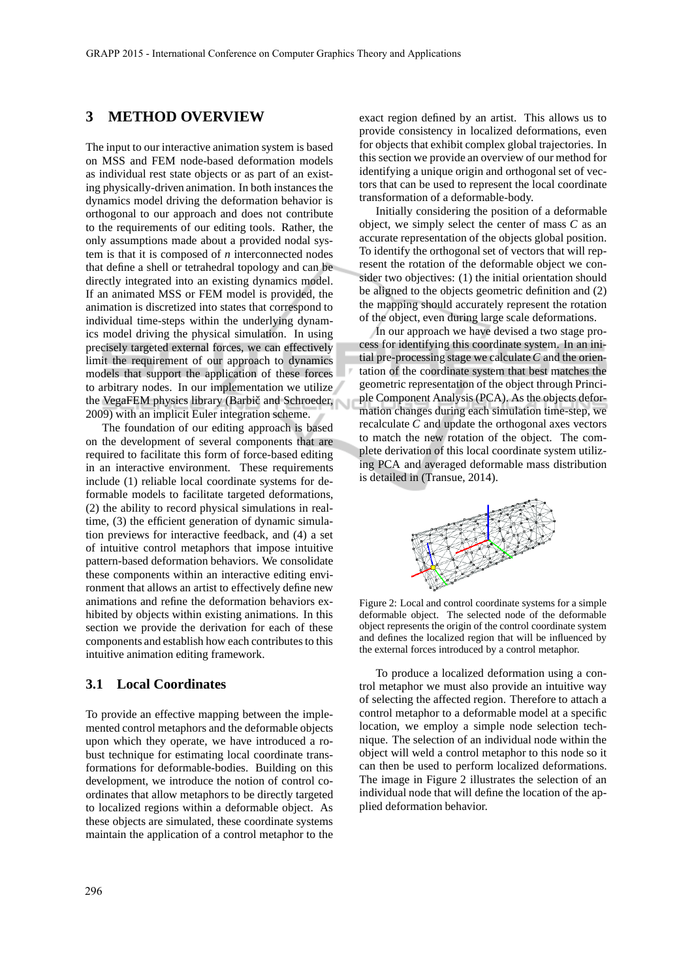# **3 METHOD OVERVIEW**

The input to our interactive animation system is based on MSS and FEM node-based deformation models as individual rest state objects or as part of an existing physically-driven animation. In both instances the dynamics model driving the deformation behavior is orthogonal to our approach and does not contribute to the requirements of our editing tools. Rather, the only assumptions made about a provided nodal system is that it is composed of *n* interconnected nodes that define a shell or tetrahedral topology and can be directly integrated into an existing dynamics model. If an animated MSS or FEM model is provided, the animation is discretized into states that correspond to individual time-steps within the underlying dynamics model driving the physical simulation. In using precisely targeted external forces, we can effectively limit the requirement of our approach to dynamics models that support the application of these forces to arbitrary nodes. In our implementation we utilize the VegaFEM physics library (Barbič and Schroeder, 2009) with an implicit Euler integration scheme.

The foundation of our editing approach is based on the development of several components that are required to facilitate this form of force-based editing in an interactive environment. These requirements include (1) reliable local coordinate systems for deformable models to facilitate targeted deformations, (2) the ability to record physical simulations in realtime, (3) the efficient generation of dynamic simulation previews for interactive feedback, and (4) a set of intuitive control metaphors that impose intuitive pattern-based deformation behaviors. We consolidate these components within an interactive editing environment that allows an artist to effectively define new animations and refine the deformation behaviors exhibited by objects within existing animations. In this section we provide the derivation for each of these components and establish how each contributes to this intuitive animation editing framework.

### **3.1 Local Coordinates**

To provide an effective mapping between the implemented control metaphors and the deformable objects upon which they operate, we have introduced a robust technique for estimating local coordinate transformations for deformable-bodies. Building on this development, we introduce the notion of control coordinates that allow metaphors to be directly targeted to localized regions within a deformable object. As these objects are simulated, these coordinate systems maintain the application of a control metaphor to the exact region defined by an artist. This allows us to provide consistency in localized deformations, even for objects that exhibit complex global trajectories. In this section we provide an overview of our method for identifying a unique origin and orthogonal set of vectors that can be used to represent the local coordinate transformation of a deformable-body.

Initially considering the position of a deformable object, we simply select the center of mass *C* as an accurate representation of the objects global position. To identify the orthogonal set of vectors that will represent the rotation of the deformable object we consider two objectives: (1) the initial orientation should be aligned to the objects geometric definition and (2) the mapping should accurately represent the rotation of the object, even during large scale deformations.

In our approach we have devised a two stage process for identifying this coordinate system. In an initial pre-processing stage we calculate*C* and the orientation of the coordinate system that best matches the geometric representation of the object through Principle Component Analysis (PCA). As the objects deformation changes during each simulation time-step, we recalculate *C* and update the orthogonal axes vectors to match the new rotation of the object. The complete derivation of this local coordinate system utilizing PCA and averaged deformable mass distribution is detailed in (Transue, 2014).



Figure 2: Local and control coordinate systems for a simple deformable object. The selected node of the deformable object represents the origin of the control coordinate system and defines the localized region that will be influenced by the external forces introduced by a control metaphor.

To produce a localized deformation using a control metaphor we must also provide an intuitive way of selecting the affected region. Therefore to attach a control metaphor to a deformable model at a specific location, we employ a simple node selection technique. The selection of an individual node within the object will weld a control metaphor to this node so it can then be used to perform localized deformations. The image in Figure 2 illustrates the selection of an individual node that will define the location of the applied deformation behavior.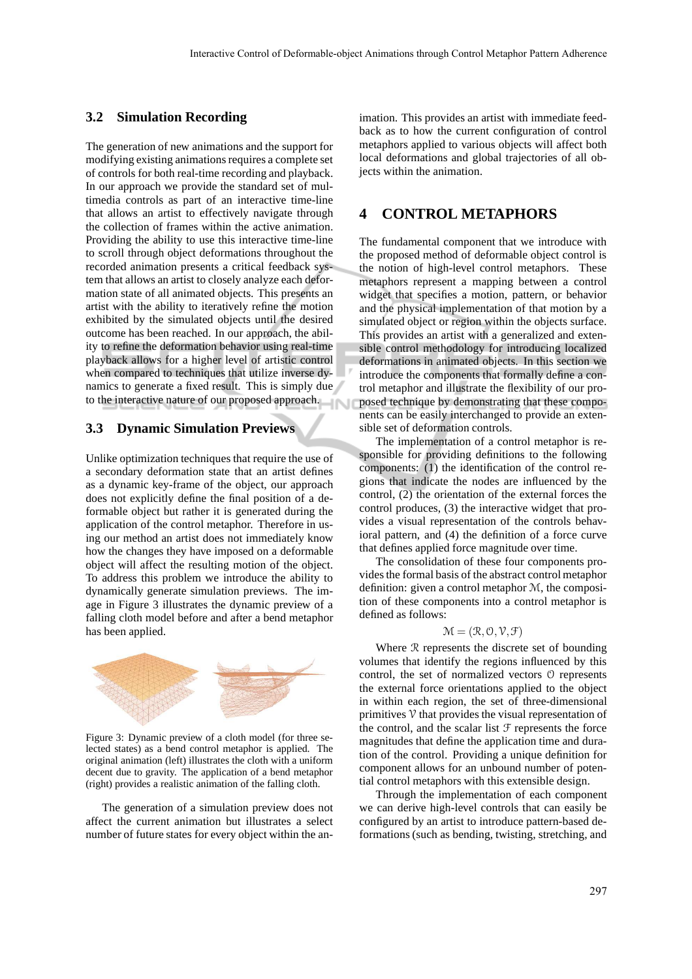### **3.2 Simulation Recording**

The generation of new animations and the support for modifying existing animations requires a complete set of controls for both real-time recording and playback. In our approach we provide the standard set of multimedia controls as part of an interactive time-line that allows an artist to effectively navigate through the collection of frames within the active animation. Providing the ability to use this interactive time-line to scroll through object deformations throughout the recorded animation presents a critical feedback system that allows an artist to closely analyze each deformation state of all animated objects. This presents an artist with the ability to iteratively refine the motion exhibited by the simulated objects until the desired outcome has been reached. In our approach, the ability to refine the deformation behavior using real-time playback allows for a higher level of artistic control when compared to techniques that utilize inverse dynamics to generate a fixed result. This is simply due to the interactive nature of our proposed approach.

#### **3.3 Dynamic Simulation Previews**

Unlike optimization techniques that require the use of a secondary deformation state that an artist defines as a dynamic key-frame of the object, our approach does not explicitly define the final position of a deformable object but rather it is generated during the application of the control metaphor. Therefore in using our method an artist does not immediately know how the changes they have imposed on a deformable object will affect the resulting motion of the object. To address this problem we introduce the ability to dynamically generate simulation previews. The image in Figure 3 illustrates the dynamic preview of a falling cloth model before and after a bend metaphor has been applied.



Figure 3: Dynamic preview of a cloth model (for three selected states) as a bend control metaphor is applied. The original animation (left) illustrates the cloth with a uniform decent due to gravity. The application of a bend metaphor (right) provides a realistic animation of the falling cloth.

The generation of a simulation preview does not affect the current animation but illustrates a select number of future states for every object within the animation. This provides an artist with immediate feedback as to how the current configuration of control metaphors applied to various objects will affect both local deformations and global trajectories of all objects within the animation.

# **4 CONTROL METAPHORS**

The fundamental component that we introduce with the proposed method of deformable object control is the notion of high-level control metaphors. These metaphors represent a mapping between a control widget that specifies a motion, pattern, or behavior and the physical implementation of that motion by a simulated object or region within the objects surface. This provides an artist with a generalized and extensible control methodology for introducing localized deformations in animated objects. In this section we introduce the components that formally define a control metaphor and illustrate the flexibility of our proposed technique by demonstrating that these components can be easily interchanged to provide an extensible set of deformation controls.

The implementation of a control metaphor is responsible for providing definitions to the following components: (1) the identification of the control regions that indicate the nodes are influenced by the control, (2) the orientation of the external forces the control produces, (3) the interactive widget that provides a visual representation of the controls behavioral pattern, and (4) the definition of a force curve that defines applied force magnitude over time.

The consolidation of these four components provides the formal basis of the abstract control metaphor definition: given a control metaphor M, the composition of these components into a control metaphor is defined as follows:

#### $\mathcal{M} = (\mathcal{R}, \mathcal{O}, \mathcal{V}, \mathcal{F})$

Where R represents the discrete set of bounding volumes that identify the regions influenced by this control, the set of normalized vectors O represents the external force orientations applied to the object in within each region, the set of three-dimensional primitives  $\nabla$  that provides the visual representation of the control, and the scalar list  $F$  represents the force magnitudes that define the application time and duration of the control. Providing a unique definition for component allows for an unbound number of potential control metaphors with this extensible design.

Through the implementation of each component we can derive high-level controls that can easily be configured by an artist to introduce pattern-based deformations (such as bending, twisting, stretching, and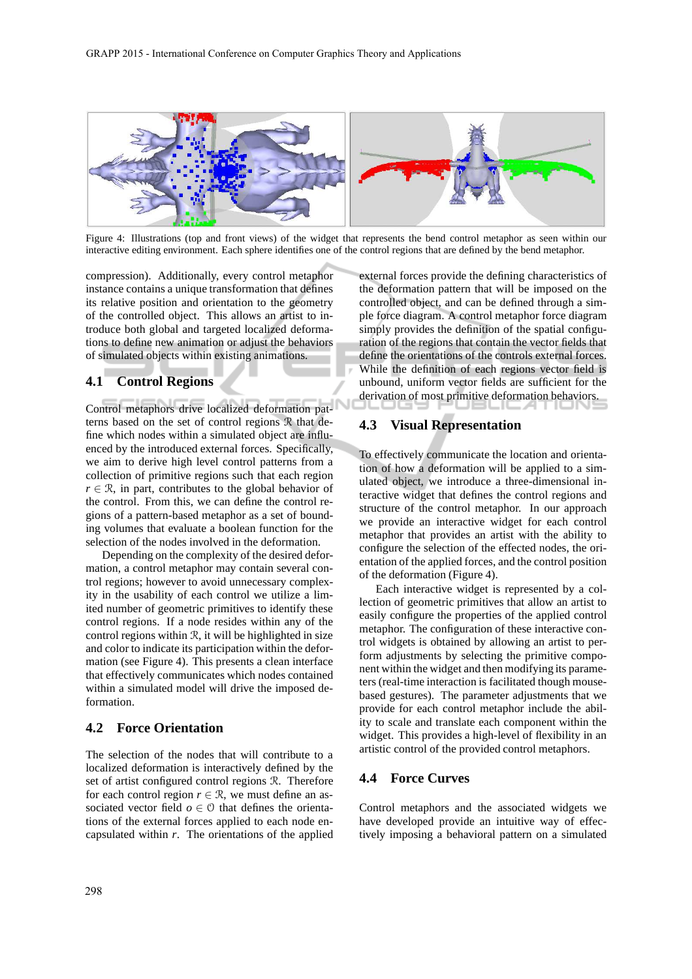

Figure 4: Illustrations (top and front views) of the widget that represents the bend control metaphor as seen within our interactive editing environment. Each sphere identifies one of the control regions that are defined by the bend metaphor.

compression). Additionally, every control metaphor instance contains a unique transformation that defines its relative position and orientation to the geometry of the controlled object. This allows an artist to introduce both global and targeted localized deformations to define new animation or adjust the behaviors of simulated objects within existing animations.

### **4.1 Control Regions**

Control metaphors drive localized deformation patterns based on the set of control regions R that define which nodes within a simulated object are influenced by the introduced external forces. Specifically, we aim to derive high level control patterns from a collection of primitive regions such that each region  $r \in \mathcal{R}$ , in part, contributes to the global behavior of the control. From this, we can define the control regions of a pattern-based metaphor as a set of bounding volumes that evaluate a boolean function for the selection of the nodes involved in the deformation.

Depending on the complexity of the desired deformation, a control metaphor may contain several control regions; however to avoid unnecessary complexity in the usability of each control we utilize a limited number of geometric primitives to identify these control regions. If a node resides within any of the control regions within  $\mathcal{R}$ , it will be highlighted in size and color to indicate its participation within the deformation (see Figure 4). This presents a clean interface that effectively communicates which nodes contained within a simulated model will drive the imposed deformation.

#### **4.2 Force Orientation**

The selection of the nodes that will contribute to a localized deformation is interactively defined by the set of artist configured control regions R. Therefore for each control region  $r \in \mathcal{R}$ , we must define an associated vector field  $o \in \mathcal{O}$  that defines the orientations of the external forces applied to each node encapsulated within *r*. The orientations of the applied

external forces provide the defining characteristics of the deformation pattern that will be imposed on the controlled object, and can be defined through a simple force diagram. A control metaphor force diagram simply provides the definition of the spatial configuration of the regions that contain the vector fields that define the orientations of the controls external forces. While the definition of each regions vector field is unbound, uniform vector fields are sufficient for the derivation of most primitive deformation behaviors.

# **4.3 Visual Representation**

To effectively communicate the location and orientation of how a deformation will be applied to a simulated object, we introduce a three-dimensional interactive widget that defines the control regions and structure of the control metaphor. In our approach we provide an interactive widget for each control metaphor that provides an artist with the ability to configure the selection of the effected nodes, the orientation of the applied forces, and the control position of the deformation (Figure 4).

Each interactive widget is represented by a collection of geometric primitives that allow an artist to easily configure the properties of the applied control metaphor. The configuration of these interactive control widgets is obtained by allowing an artist to perform adjustments by selecting the primitive component within the widget and then modifying its parameters (real-time interaction is facilitated though mousebased gestures). The parameter adjustments that we provide for each control metaphor include the ability to scale and translate each component within the widget. This provides a high-level of flexibility in an artistic control of the provided control metaphors.

#### **4.4 Force Curves**

Control metaphors and the associated widgets we have developed provide an intuitive way of effectively imposing a behavioral pattern on a simulated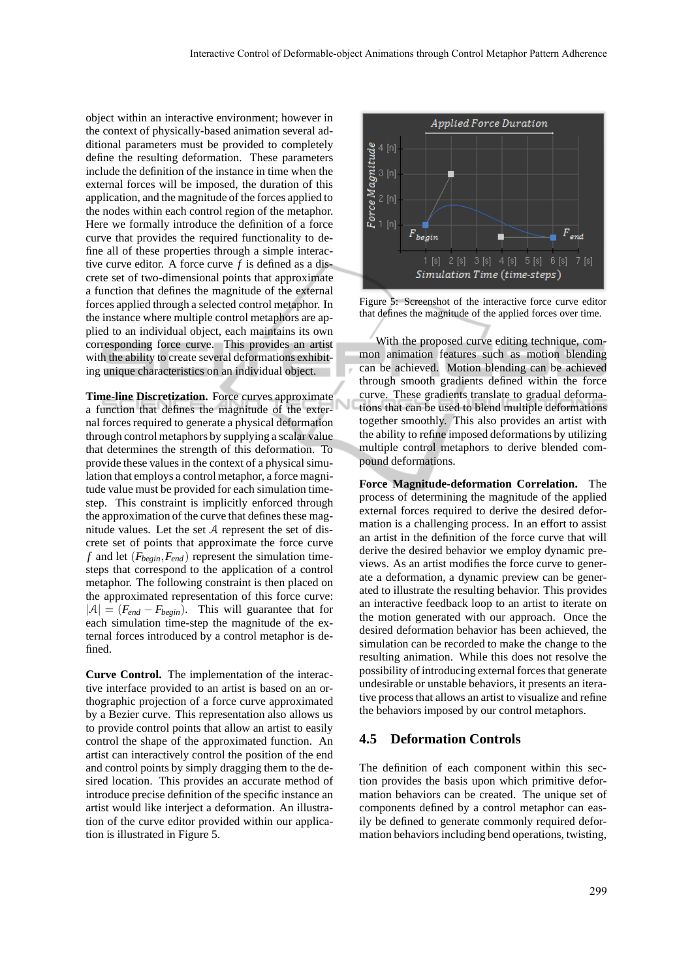object within an interactive environment; however in the context of physically-based animation several additional parameters must be provided to completely define the resulting deformation. These parameters include the definition of the instance in time when the external forces will be imposed, the duration of this application, and the magnitude of the forces applied to the nodes within each control region of the metaphor. Here we formally introduce the definition of a force curve that provides the required functionality to define all of these properties through a simple interactive curve editor. A force curve *f* is defined as a discrete set of two-dimensional points that approximate a function that defines the magnitude of the external forces applied through a selected control metaphor. In the instance where multiple control metaphors are applied to an individual object, each maintains its own corresponding force curve. This provides an artist with the ability to create several deformations exhibiting unique characteristics on an individual object.

**Time-line Discretization.** Force curves approximate a function that defines the magnitude of the external forces required to generate a physical deformation through control metaphors by supplying a scalar value that determines the strength of this deformation. To provide these values in the context of a physical simulation that employs a control metaphor, a force magnitude value must be provided for each simulation timestep. This constraint is implicitly enforced through the approximation of the curve that defines these magnitude values. Let the set  $A$  represent the set of discrete set of points that approximate the force curve *f* and let (*Fbegin*,*Fend*) represent the simulation timesteps that correspond to the application of a control metaphor. The following constraint is then placed on the approximated representation of this force curve:  $|A| = (F_{end} - F_{begin})$ . This will guarantee that for each simulation time-step the magnitude of the external forces introduced by a control metaphor is defined.

**Curve Control.** The implementation of the interactive interface provided to an artist is based on an orthographic projection of a force curve approximated by a Bezier curve. This representation also allows us to provide control points that allow an artist to easily control the shape of the approximated function. An artist can interactively control the position of the end and control points by simply dragging them to the desired location. This provides an accurate method of introduce precise definition of the specific instance an artist would like interject a deformation. An illustration of the curve editor provided within our application is illustrated in Figure 5.



Figure 5: Screenshot of the interactive force curve editor that defines the magnitude of the applied forces over time.

With the proposed curve editing technique, common animation features such as motion blending can be achieved. Motion blending can be achieved through smooth gradients defined within the force curve. These gradients translate to gradual deformations that can be used to blend multiple deformations together smoothly. This also provides an artist with the ability to refine imposed deformations by utilizing multiple control metaphors to derive blended compound deformations.

**Force Magnitude-deformation Correlation.** The process of determining the magnitude of the applied external forces required to derive the desired deformation is a challenging process. In an effort to assist an artist in the definition of the force curve that will derive the desired behavior we employ dynamic previews. As an artist modifies the force curve to generate a deformation, a dynamic preview can be generated to illustrate the resulting behavior. This provides an interactive feedback loop to an artist to iterate on the motion generated with our approach. Once the desired deformation behavior has been achieved, the simulation can be recorded to make the change to the resulting animation. While this does not resolve the possibility of introducing external forces that generate undesirable or unstable behaviors, it presents an iterative process that allows an artist to visualize and refine the behaviors imposed by our control metaphors.

#### **4.5 Deformation Controls**

The definition of each component within this section provides the basis upon which primitive deformation behaviors can be created. The unique set of components defined by a control metaphor can easily be defined to generate commonly required deformation behaviors including bend operations, twisting,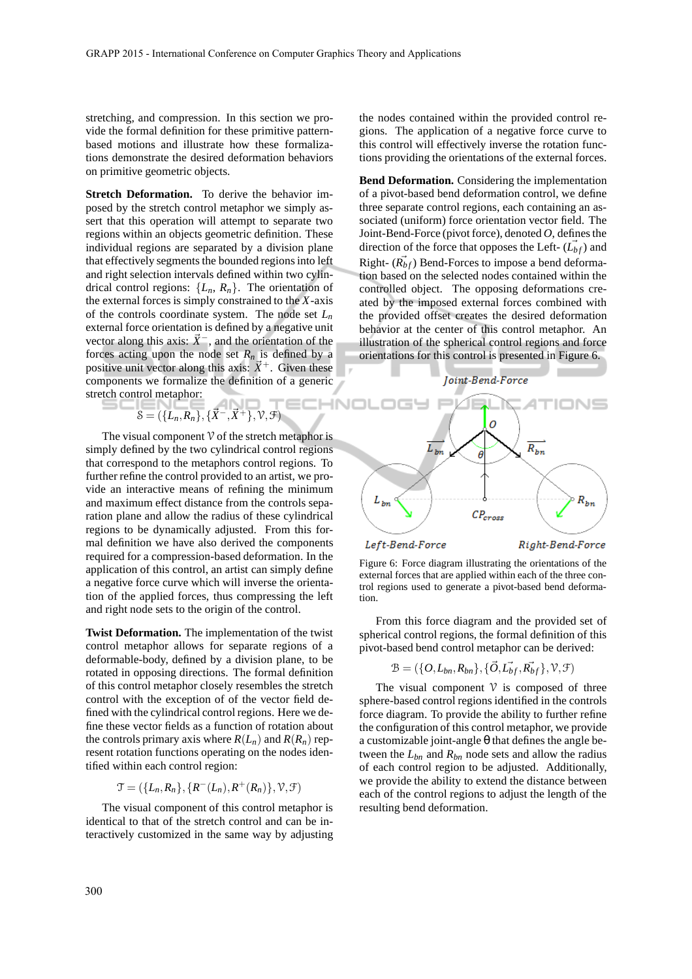stretching, and compression. In this section we provide the formal definition for these primitive patternbased motions and illustrate how these formalizations demonstrate the desired deformation behaviors on primitive geometric objects.

**Stretch Deformation.** To derive the behavior imposed by the stretch control metaphor we simply assert that this operation will attempt to separate two regions within an objects geometric definition. These individual regions are separated by a division plane that effectively segments the bounded regions into left and right selection intervals defined within two cylindrical control regions:  $\{L_n, R_n\}$ . The orientation of the external forces is simply constrained to the *X*-axis of the controls coordinate system. The node set *L<sup>n</sup>* external force orientation is defined by a negative unit vector along this axis:  $\vec{X}^-$ , and the orientation of the forces acting upon the node set  $R_n$  is defined by a positive unit vector along this axis:  $\vec{X}^+$ . Given these components we formalize the definition of a generic stretch control metaphor:

$$
\mathcal{S} = (\{L_n, R_n\}, \{\vec{X}^-, \vec{X}^+\}, \mathcal{V}, \mathcal{F})
$$

The visual component  $\mathcal V$  of the stretch metaphor is simply defined by the two cylindrical control regions that correspond to the metaphors control regions. To further refine the control provided to an artist, we provide an interactive means of refining the minimum and maximum effect distance from the controls separation plane and allow the radius of these cylindrical regions to be dynamically adjusted. From this formal definition we have also derived the components required for a compression-based deformation. In the application of this control, an artist can simply define a negative force curve which will inverse the orientation of the applied forces, thus compressing the left and right node sets to the origin of the control.

**Twist Deformation.** The implementation of the twist control metaphor allows for separate regions of a deformable-body, defined by a division plane, to be rotated in opposing directions. The formal definition of this control metaphor closely resembles the stretch control with the exception of of the vector field defined with the cylindrical control regions. Here we define these vector fields as a function of rotation about the controls primary axis where  $R(L_n)$  and  $R(R_n)$  represent rotation functions operating on the nodes identified within each control region:

$$
\mathcal{T} = (\{L_n, R_n\}, \{R^-(L_n), R^+(R_n)\}, \mathcal{V}, \mathcal{F})
$$

The visual component of this control metaphor is identical to that of the stretch control and can be interactively customized in the same way by adjusting the nodes contained within the provided control regions. The application of a negative force curve to this control will effectively inverse the rotation functions providing the orientations of the external forces.

**Bend Deformation.** Considering the implementation of a pivot-based bend deformation control, we define three separate control regions, each containing an associated (uniform) force orientation vector field. The Joint-Bend-Force (pivot force), denoted *O*, defines the direction of the force that opposes the Left-  $(\overrightarrow{L_{bf}})$  and Right-  $(\overrightarrow{R}_{bf})$  Bend-Forces to impose a bend deformation based on the selected nodes contained within the controlled object. The opposing deformations created by the imposed external forces combined with the provided offset creates the desired deformation behavior at the center of this control metaphor. An illustration of the spherical control regions and force orientations for this control is presented in Figure 6.



Figure 6: Force diagram illustrating the orientations of the external forces that are applied within each of the three control regions used to generate a pivot-based bend deformation.

From this force diagram and the provided set of spherical control regions, the formal definition of this pivot-based bend control metaphor can be derived:

$$
\mathcal{B} = (\{O, L_{bn}, R_{bn}\}, \{\vec{O}, \vec{L_{bf}}, \vec{R_{bf}}\}, \mathcal{V}, \mathcal{F})
$$

The visual component  $\mathcal V$  is composed of three sphere-based control regions identified in the controls force diagram. To provide the ability to further refine the configuration of this control metaphor, we provide a customizable joint-angle θ that defines the angle between the *Lbn* and *Rbn* node sets and allow the radius of each control region to be adjusted. Additionally, we provide the ability to extend the distance between each of the control regions to adjust the length of the resulting bend deformation.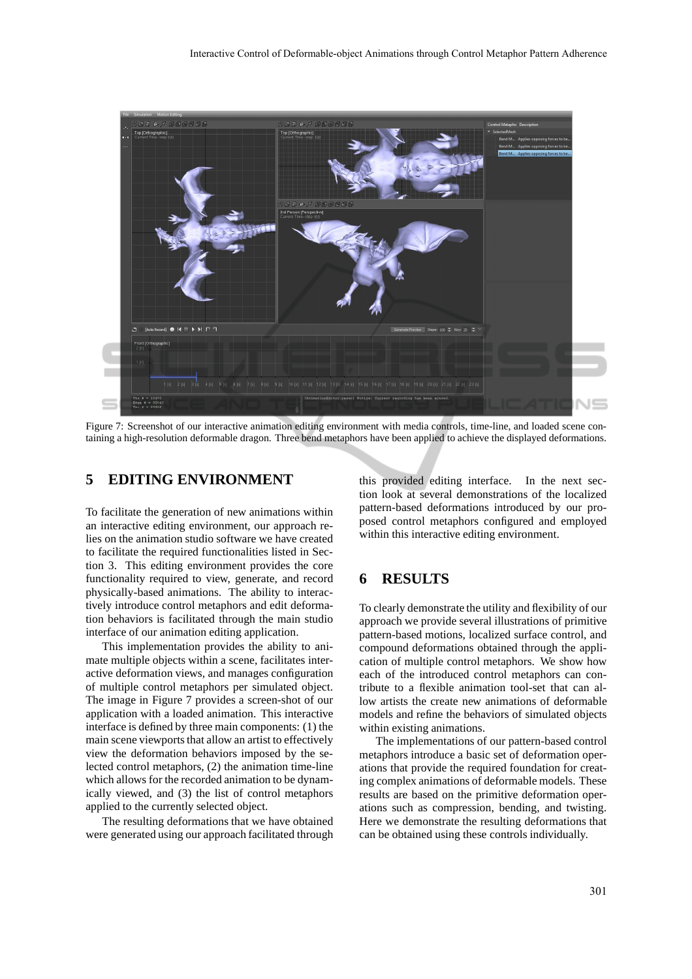

Figure 7: Screenshot of our interactive animation editing environment with media controls, time-line, and loaded scene containing a high-resolution deformable dragon. Three bend metaphors have been applied to achieve the displayed deformations.

# **5 EDITING ENVIRONMENT**

To facilitate the generation of new animations within an interactive editing environment, our approach relies on the animation studio software we have created to facilitate the required functionalities listed in Section 3. This editing environment provides the core functionality required to view, generate, and record physically-based animations. The ability to interactively introduce control metaphors and edit deformation behaviors is facilitated through the main studio interface of our animation editing application.

This implementation provides the ability to animate multiple objects within a scene, facilitates interactive deformation views, and manages configuration of multiple control metaphors per simulated object. The image in Figure 7 provides a screen-shot of our application with a loaded animation. This interactive interface is defined by three main components: (1) the main scene viewports that allow an artist to effectively view the deformation behaviors imposed by the selected control metaphors, (2) the animation time-line which allows for the recorded animation to be dynamically viewed, and (3) the list of control metaphors applied to the currently selected object.

The resulting deformations that we have obtained were generated using our approach facilitated through

this provided editing interface. In the next section look at several demonstrations of the localized pattern-based deformations introduced by our proposed control metaphors configured and employed within this interactive editing environment.

# **6 RESULTS**

To clearly demonstrate the utility and flexibility of our approach we provide several illustrations of primitive pattern-based motions, localized surface control, and compound deformations obtained through the application of multiple control metaphors. We show how each of the introduced control metaphors can contribute to a flexible animation tool-set that can allow artists the create new animations of deformable models and refine the behaviors of simulated objects within existing animations.

The implementations of our pattern-based control metaphors introduce a basic set of deformation operations that provide the required foundation for creating complex animations of deformable models. These results are based on the primitive deformation operations such as compression, bending, and twisting. Here we demonstrate the resulting deformations that can be obtained using these controls individually.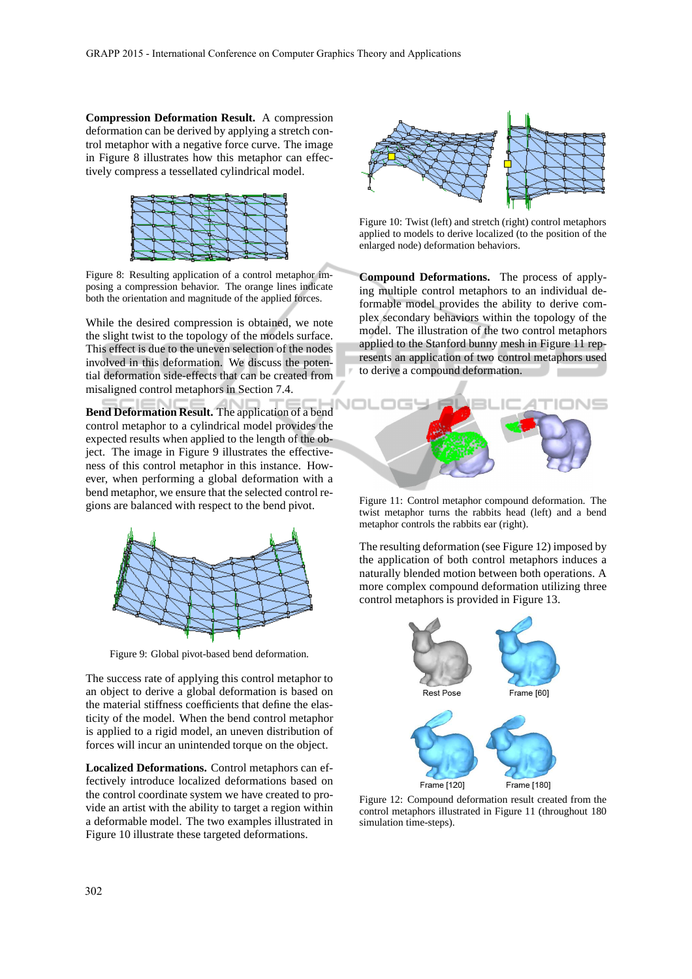**Compression Deformation Result.** A compression deformation can be derived by applying a stretch control metaphor with a negative force curve. The image in Figure 8 illustrates how this metaphor can effectively compress a tessellated cylindrical model.



Figure 8: Resulting application of a control metaphor imposing a compression behavior. The orange lines indicate both the orientation and magnitude of the applied forces.

While the desired compression is obtained, we note the slight twist to the topology of the models surface. This effect is due to the uneven selection of the nodes involved in this deformation. We discuss the potential deformation side-effects that can be created from misaligned control metaphors in Section 7.4.

**Bend Deformation Result.** The application of a bend control metaphor to a cylindrical model provides the expected results when applied to the length of the object. The image in Figure 9 illustrates the effectiveness of this control metaphor in this instance. However, when performing a global deformation with a bend metaphor, we ensure that the selected control regions are balanced with respect to the bend pivot.



Figure 9: Global pivot-based bend deformation.

The success rate of applying this control metaphor to an object to derive a global deformation is based on the material stiffness coefficients that define the elasticity of the model. When the bend control metaphor is applied to a rigid model, an uneven distribution of forces will incur an unintended torque on the object.

**Localized Deformations.** Control metaphors can effectively introduce localized deformations based on the control coordinate system we have created to provide an artist with the ability to target a region within a deformable model. The two examples illustrated in Figure 10 illustrate these targeted deformations.



Figure 10: Twist (left) and stretch (right) control metaphors applied to models to derive localized (to the position of the enlarged node) deformation behaviors.

**Compound Deformations.** The process of applying multiple control metaphors to an individual deformable model provides the ability to derive complex secondary behaviors within the topology of the model. The illustration of the two control metaphors applied to the Stanford bunny mesh in Figure 11 represents an application of two control metaphors used to derive a compound deformation.



Figure 11: Control metaphor compound deformation. The twist metaphor turns the rabbits head (left) and a bend metaphor controls the rabbits ear (right).

The resulting deformation (see Figure 12) imposed by the application of both control metaphors induces a naturally blended motion between both operations. A more complex compound deformation utilizing three control metaphors is provided in Figure 13.



Figure 12: Compound deformation result created from the control metaphors illustrated in Figure 11 (throughout 180 simulation time-steps).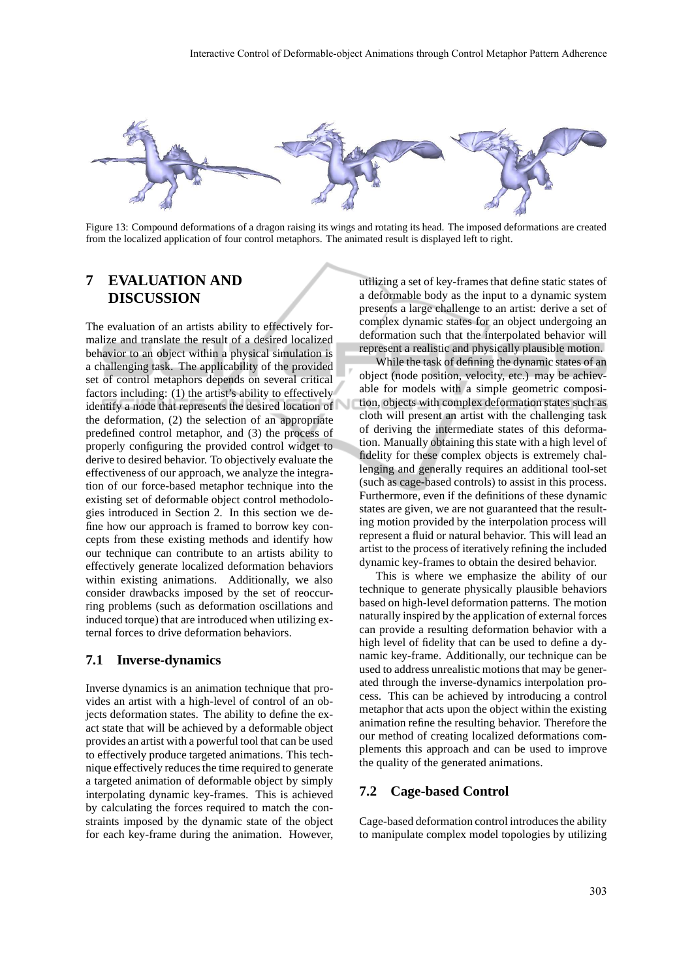

Figure 13: Compound deformations of a dragon raising its wings and rotating its head. The imposed deformations are created from the localized application of four control metaphors. The animated result is displayed left to right.

# **7 EVALUATION AND DISCUSSION**

The evaluation of an artists ability to effectively formalize and translate the result of a desired localized behavior to an object within a physical simulation is a challenging task. The applicability of the provided set of control metaphors depends on several critical factors including: (1) the artist's ability to effectively identify a node that represents the desired location of the deformation, (2) the selection of an appropriate predefined control metaphor, and (3) the process of properly configuring the provided control widget to derive to desired behavior. To objectively evaluate the effectiveness of our approach, we analyze the integration of our force-based metaphor technique into the existing set of deformable object control methodologies introduced in Section 2. In this section we define how our approach is framed to borrow key concepts from these existing methods and identify how our technique can contribute to an artists ability to effectively generate localized deformation behaviors within existing animations. Additionally, we also consider drawbacks imposed by the set of reoccurring problems (such as deformation oscillations and induced torque) that are introduced when utilizing external forces to drive deformation behaviors.

#### **7.1 Inverse-dynamics**

Inverse dynamics is an animation technique that provides an artist with a high-level of control of an objects deformation states. The ability to define the exact state that will be achieved by a deformable object provides an artist with a powerful tool that can be used to effectively produce targeted animations. This technique effectively reduces the time required to generate a targeted animation of deformable object by simply interpolating dynamic key-frames. This is achieved by calculating the forces required to match the constraints imposed by the dynamic state of the object for each key-frame during the animation. However,

utilizing a set of key-frames that define static states of a deformable body as the input to a dynamic system presents a large challenge to an artist: derive a set of complex dynamic states for an object undergoing an deformation such that the interpolated behavior will represent a realistic and physically plausible motion.

While the task of defining the dynamic states of an object (node position, velocity, etc.) may be achievable for models with a simple geometric composition, objects with complex deformation states such as cloth will present an artist with the challenging task of deriving the intermediate states of this deformation. Manually obtaining this state with a high level of fidelity for these complex objects is extremely challenging and generally requires an additional tool-set (such as cage-based controls) to assist in this process. Furthermore, even if the definitions of these dynamic states are given, we are not guaranteed that the resulting motion provided by the interpolation process will represent a fluid or natural behavior. This will lead an artist to the process of iteratively refining the included dynamic key-frames to obtain the desired behavior.

This is where we emphasize the ability of our technique to generate physically plausible behaviors based on high-level deformation patterns. The motion naturally inspired by the application of external forces can provide a resulting deformation behavior with a high level of fidelity that can be used to define a dynamic key-frame. Additionally, our technique can be used to address unrealistic motions that may be generated through the inverse-dynamics interpolation process. This can be achieved by introducing a control metaphor that acts upon the object within the existing animation refine the resulting behavior. Therefore the our method of creating localized deformations complements this approach and can be used to improve the quality of the generated animations.

#### **7.2 Cage-based Control**

Cage-based deformation control introduces the ability to manipulate complex model topologies by utilizing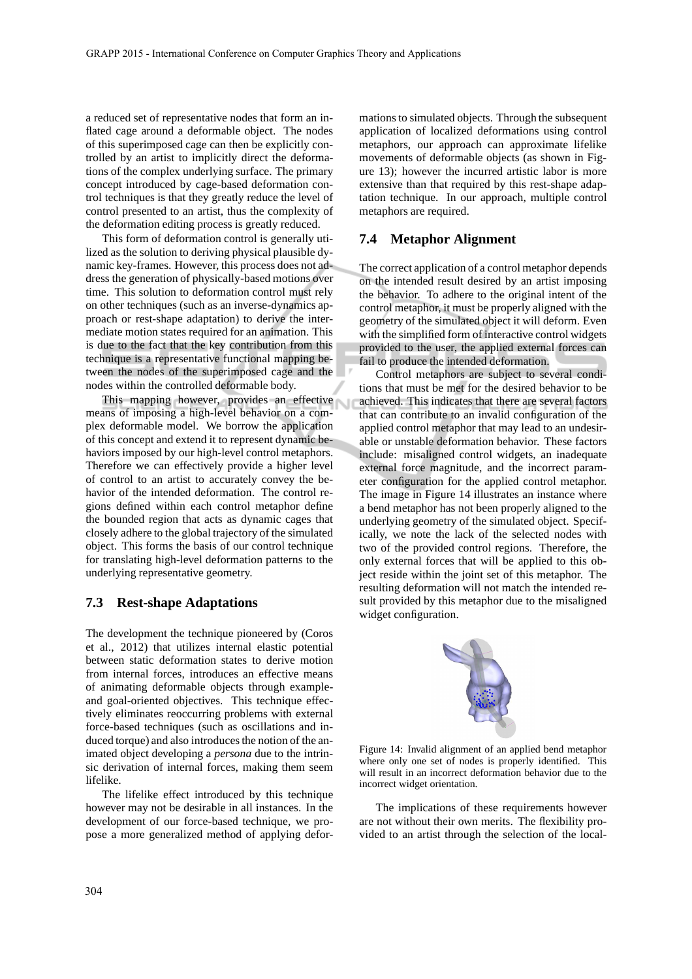a reduced set of representative nodes that form an inflated cage around a deformable object. The nodes of this superimposed cage can then be explicitly controlled by an artist to implicitly direct the deformations of the complex underlying surface. The primary concept introduced by cage-based deformation control techniques is that they greatly reduce the level of control presented to an artist, thus the complexity of the deformation editing process is greatly reduced.

This form of deformation control is generally utilized as the solution to deriving physical plausible dynamic key-frames. However, this process does not address the generation of physically-based motions over time. This solution to deformation control must rely on other techniques (such as an inverse-dynamics approach or rest-shape adaptation) to derive the intermediate motion states required for an animation. This is due to the fact that the key contribution from this technique is a representative functional mapping between the nodes of the superimposed cage and the nodes within the controlled deformable body.

This mapping however, provides an effective means of imposing a high-level behavior on a complex deformable model. We borrow the application of this concept and extend it to represent dynamic behaviors imposed by our high-level control metaphors. Therefore we can effectively provide a higher level of control to an artist to accurately convey the behavior of the intended deformation. The control regions defined within each control metaphor define the bounded region that acts as dynamic cages that closely adhere to the global trajectory of the simulated object. This forms the basis of our control technique for translating high-level deformation patterns to the underlying representative geometry.

#### **7.3 Rest-shape Adaptations**

The development the technique pioneered by (Coros et al., 2012) that utilizes internal elastic potential between static deformation states to derive motion from internal forces, introduces an effective means of animating deformable objects through exampleand goal-oriented objectives. This technique effectively eliminates reoccurring problems with external force-based techniques (such as oscillations and induced torque) and also introduces the notion of the animated object developing a *persona* due to the intrinsic derivation of internal forces, making them seem lifelike.

The lifelike effect introduced by this technique however may not be desirable in all instances. In the development of our force-based technique, we propose a more generalized method of applying deformations to simulated objects. Through the subsequent application of localized deformations using control metaphors, our approach can approximate lifelike movements of deformable objects (as shown in Figure 13); however the incurred artistic labor is more extensive than that required by this rest-shape adaptation technique. In our approach, multiple control metaphors are required.

### **7.4 Metaphor Alignment**

The correct application of a control metaphor depends on the intended result desired by an artist imposing the behavior. To adhere to the original intent of the control metaphor, it must be properly aligned with the geometry of the simulated object it will deform. Even with the simplified form of interactive control widgets provided to the user, the applied external forces can fail to produce the intended deformation.

Control metaphors are subject to several conditions that must be met for the desired behavior to be achieved. This indicates that there are several factors that can contribute to an invalid configuration of the applied control metaphor that may lead to an undesirable or unstable deformation behavior. These factors include: misaligned control widgets, an inadequate external force magnitude, and the incorrect parameter configuration for the applied control metaphor. The image in Figure 14 illustrates an instance where a bend metaphor has not been properly aligned to the underlying geometry of the simulated object. Specifically, we note the lack of the selected nodes with two of the provided control regions. Therefore, the only external forces that will be applied to this object reside within the joint set of this metaphor. The resulting deformation will not match the intended result provided by this metaphor due to the misaligned widget configuration.



Figure 14: Invalid alignment of an applied bend metaphor where only one set of nodes is properly identified. This will result in an incorrect deformation behavior due to the incorrect widget orientation.

The implications of these requirements however are not without their own merits. The flexibility provided to an artist through the selection of the local